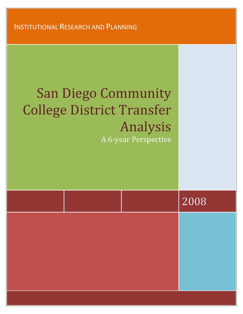INSTITUTIONAL RESEARCH AND PLANNING

 $\mathcal{L}(\mathcal{L}(\mathcal{L}))$  and  $\mathcal{L}(\mathcal{L}(\mathcal{L}))$  and  $\mathcal{L}(\mathcal{L}(\mathcal{L}))$ 

## San Diego Community College District Transfer Analysis A 6‐year Perspective

|  | 2008 |
|--|------|
|  |      |
|  |      |
|  |      |
|  |      |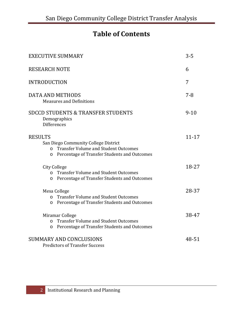## **Table of Contents**

| <b>EXECUTIVE SUMMARY</b>                                                                                                                                                    | $3 - 5$   |
|-----------------------------------------------------------------------------------------------------------------------------------------------------------------------------|-----------|
| <b>RESEARCH NOTE</b>                                                                                                                                                        | 6         |
| <b>INTRODUCTION</b>                                                                                                                                                         | 7         |
| <b>DATA AND METHODS</b><br><b>Measures and Definitions</b>                                                                                                                  | $7 - 8$   |
| <b>SDCCD STUDENTS &amp; TRANSFER STUDENTS</b><br>Demographics<br><b>Differences</b>                                                                                         | $9 - 10$  |
| <b>RESULTS</b><br>San Diego Community College District<br><b>Transfer Volume and Student Outcomes</b><br>$\circ$<br>Percentage of Transfer Students and Outcomes<br>$\circ$ | $11 - 17$ |
| <b>City College</b><br><b>Transfer Volume and Student Outcomes</b><br>$\Omega$<br>Percentage of Transfer Students and Outcomes<br>$\circ$                                   | 18-27     |
| Mesa College<br><b>Transfer Volume and Student Outcomes</b><br>$\Omega$<br>Percentage of Transfer Students and Outcomes<br>$\circ$                                          | 28-37     |
| Miramar College<br><b>Transfer Volume and Student Outcomes</b><br>$\circ$<br>Percentage of Transfer Students and Outcomes<br>$\circ$                                        | 38-47     |
| <b>SUMMARY AND CONCLUSIONS</b><br><b>Predictors of Transfer Success</b>                                                                                                     | 48-51     |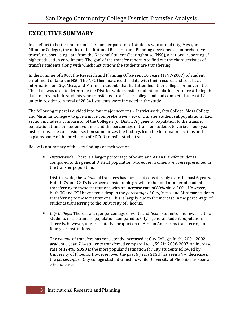#### **EXECUTIVE SUMMARY**

In an effort to better understand the transfer patterns of students who attend City, Mesa, and Miramar Colleges, the office of Institutional Research and Planning developed a comprehensive transfer report using data from the National Student Clearinghouse (NSC), a national reporting of higher education enrollments. The goal of the transfer report is to find out the characteristics of transfer students along with which institutions the students are transferring.

In the summer of 2007, the Research and Planning Office sent 10 years (1997‐2007) of student enrollment data to the NSC. The NSC then matched this data with their records and sent back information on City, Mesa, and Miramar students that had attended other colleges or universities. This data was used to determine the District-wide transfer student population. After restricting the data to only include students who transferred to a 4‐year college and had completed at least 12 units in residence, a total of 28,841 students were included in the study.

The following report is divided into four major sections - District-wide, City College, Mesa College, and Miramar College – to give a more comprehensive view of transfer student subpopulations. Each section includes a comparison of the College's (or District's) general population to the transfer population, transfer student volume, and the percentage of transfer students to various four‐year institutions. The conclusion section summarizes the findings from the four major sections and explains some of the predictors of SDCCD transfer student success.

Below is a summary of the key findings of each section:

 *Districtwide*: There is a larger percentage of white and Asian transfer students compared to the general District population. Moreover, women are overrepresented in the transfer population.

District‐wide, the *volume* of transfers has increased considerably over the past 6 years. Both UC's and CSU's have seen considerable growth in the total number of students transferring to these institutions with an increase rate of 80% since 2001. However, both UC and CSU have seen a drop in the *percentage* of City, Mesa, and Miramar students transferring to these institutions. This is largely due to the increase in the percentage of students transferring to the University of Phoenix.

 *City College*: There is a larger percentage of white and Asian students, and fewer Latino students in the transfer population compared to City's general student population. There is, however, a representative proportion of African Americans transferring to four‐year institutions.

The *volume* of transfers has consistently increased at City College. In the 2001‐2002 academic year, 714 students transferred compared to 1, 596 in 2006‐2007, an increase rate of 124%. SDSU is the most popular destination for City students followed by University of Phoenix. However, over the past 6 years SDSU has seen a 9% decrease in the *percentage* of City college student transfers while University of Phoenix has seen a 7% increase.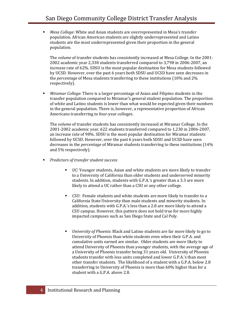*Mesa College*: White and Asian students are overrepresented in Mesa's transfer population. African American students are slightly underrepresented and Latino students are the most underrepresented given their proportion in the general population.

The *volume* of transfer students has consistently increased at Mesa College. In the 2001‐ 2002 academic year 2,338 students transferred compared to 3,798 in 2006‐2007, an increase rate of 62%. SDSU is the most popular destination for Mesa students followed by UCSD. However, over the past 6 years both SDSU and UCSD have seen decreases in the *percentage* of Mesa students transferring to these institutions (10% and 2% respectively).

 *Miramar College*: There is a larger percentage of Asian and Filipino students in the transfer population compared to Miramar's general student population. The proportion of white and Latino students is lower than what would be expected given their numbers in the general population. There is, however, a representative proportion of African Americans transferring to four‐year colleges.

The *volume* of transfer students has consistently increased at Miramar College. In the 2001‐2002 academic year, 622 students transferred compared to 1,230 in 2006‐2007, an increase rate of 98%. SDSU is the most popular destination for Miramar students followed by UCSD. However, over the past 6 years both SDSU and UCSD have seen decreases in the *percentage* of Miramar students transferring to these institutions (14% and 5% respectively).

- *Predictors of transfer student success*
	- *UC*: Younger students, Asian and white students are more likely to transfer to a University of California than older students and underserved minority students. In addition, students with G.P.A.'s greater than a 3.3 are more likely to attend a UC rather than a CSU or any other college.
	- *CSU:* Female students and white students are more likely to transfer to a California State University than male students and minority students. In addition, students with G.P.A.'s less than a 2.8 are more likely to attend a CSU campus. However, this pattern does not hold true for more highly impacted campuses such as San Diego State and Cal Poly.
	- *University of Phoenix:* Black and Latino students are far more likely to go to University of Phoenix than white students even when their G.P.A. and cumulative units earned are similar. Older students are more likely to attend University of Phoenix than younger students, with the average age of a University of Phoenix transfer being 31 years old. University of Phoenix students transfer with less units completed and lower G.P.A.'s than most other transfer students. The likelihood of a student with a G.P.A. below 2.8 transferring to University of Phoenix is more than 60% higher than for a student with a G.P.A. above 2.8.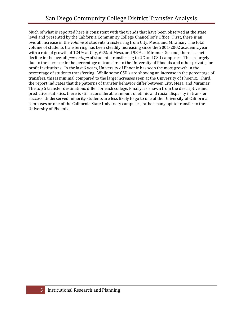Much of what is reported here is consistent with the trends that have been observed at the state level and presented by the California Community College Chancellor's Office. First, there is an overall increase in the *volume* of students transferring from City, Mesa, and Miramar. The total volume of students transferring has been steadily increasing since the 2001‐2002 academic year with a rate of growth of 124% at City, 62% at Mesa, and 98% at Miramar. Second, there is a net decline in the overall *percentage* of students transferring to UC and CSU campuses. This is largely due to the increase in the percentage of transfers to the University of Phoenix and other private, for profit institutions. In the last 6 years, University of Phoenix has seen the most growth in the percentage of students transferring. While some CSU's are showing an increase in the percentage of transfers, this is minimal compared to the large increases seen at the University of Phoenix. Third, the report indicates that the patterns of transfer behavior differ between City, Mesa, and Miramar. The top 5 transfer destinations differ for each college. Finally, as shown from the descriptive and predictive statistics, there is still a considerable amount of ethnic and racial disparity in transfer success. Underserved minority students are less likely to go to one of the University of California campuses or one of the California State University campuses, rather many opt to transfer to the University of Phoenix.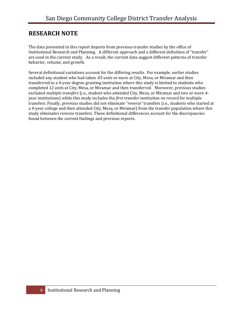#### **RESEARCH NOTE**

The data presented in this report departs from previous transfer studies by the office of Institutional Research and Planning. A different approach and a different definition of "transfer" are used in the current study. As a result, the current data suggest different patterns of transfer behavior, volume, and growth.

Several definitional variations account for the differing results. For example, earlier studies included any student who had taken *.05 units* or more at City, Mesa, or Miramar and then transferred to a 4‐year degree granting institution where this study is limited to students who completed *12 units* at City, Mesa, or Miramar and then transferred. Moreover, previous studies excluded *multiple transfers* (i.e., student who attended City, Mesa, or Miramar and two or more 4‐ year institutions) while this study includes the *first* transfer institution on record for multiple transfers. Finally, previous studies did not eliminate *"reverse"* transfers (i.e., students who started at a 4‐year college and then attended City, Mesa, or Miramar) from the transfer population where this study eliminates reverse transfers. These definitional differences account for the discrepancies found between the current findings and previous reports.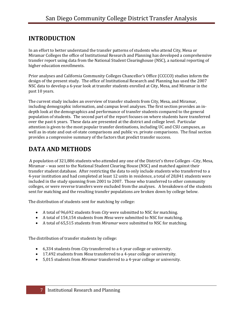## **INTRODUCTION**

In an effort to better understand the transfer patterns of students who attend City, Mesa or Miramar Colleges the office of Institutional Research and Planning has developed a comprehensive transfer report using data from the National Student Clearinghouse (NSC), a national reporting of higher education enrollments.

Prior analyses and California Community Colleges Chancellor's Office (CCCCO) studies inform the design of the present study. The office of Institutional Research and Planning has used the 2007 NSC data to develop a 6‐year look at transfer students enrolled at City, Mesa, and Miramar in the past 10 years.

The current study includes an overview of transfer students from City, Mesa, and Miramar, including demographic information, and campus level analyses. The first section provides an in‐ depth look at the demographics and performance of transfer students compared to the general population of students. The second part of the report focuses on where students have transferred over the past 6 years. These data are presented at the district and college level. Particular attention is given to the most popular transfer destinations, including UC and CSU campuses, as well as in-state and out-of-state comparisons and public vs. private comparisons. The final section provides a compressive summary of the factors that predict transfer success.

### **DATA AND METHODS**

 A population of 321,886 students who attended any one of the District's three Colleges –City, Mesa, Miramar – was sent to the National Student Clearing House (NSC) and matched against their transfer student database. After restricting the data to only include students who transferred to a 4‐year institution and had completed at least 12 units in residence, a total of 28,841 students were included in the study spanning from 2001 to 2007. Those who transferred to other community colleges, or were reverse transfers were excluded from the analyses. A breakdown of the students sent for matching and the resulting transfer populations are broken down by college below.

The distribution of students sent for matching by college:

- A total of 96,692 students from *City* were submitted to NSC for matching.
- A total of 154,154 students from *Mesa* were submitted to NSC for matching.
- A total of 65,515 students from *Miramar* were submitted to NSC for matching.

The distribution of transfer students by college:

- 6,334 students from *City* transferred to a 4‐year college or university.
- 17,492 students from *Mesa* transferred to a 4‐year college or university.
- 5,015 students from *Miramar* transferred to a 4‐year college or university.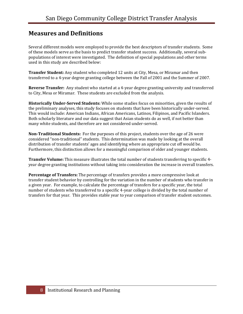#### **Measures and Definitions**

Several different models were employed to provide the best descriptors of transfer students. Some of these models serve as the basis to predict transfer student success. Additionally, several sub‐ populations of interest were investigated. The definition of special populations and other terms used in this study are described below:

**Transfer Student:** Any student who completed 12 units at City, Mesa, or Miramar and then transferred to a 4‐year degree granting college between the Fall of 2001 and the Summer of 2007.

**Reverse Transfer:** Any student who started at a 4‐year degree granting university and transferred to City, Mesa or Miramar. These students are excluded from the analysis.

**Historically UnderServed Students:** While some studies focus on minorities, given the results of the preliminary analyses, this study focuses on students that have been historically under‐served. This would include: American Indians, African Americans, Latinos, Filipinos, and Pacific Islanders. Both scholarly literature and our data suggest that Asian students do as well, if not better than many white students, and therefore are not considered under‐served.

**NonTraditional Students:** For the purposes of this project, students over the age of 26 were considered "non‐traditional" students. This determination was made by looking at the overall distribution of transfer students' ages and identifying where an appropriate cut off would be. Furthermore, this distinction allows for a meaningful comparison of older and younger students.

**Transfer Volume:** This measure illustrates the total number of students transferring to specific 4‐ year degree granting institutions without taking into consideration the increase in overall transfers.

**Percentage of Transfers:** The percentage of transfers provides a more compressive look at transfer student behavior by controlling for the variation in the number of students who transfer in a given year. For example, to calculate the percentage of transfers for a specific year, the total number of students who transferred to a specific 4‐year college is divided by the total number of transfers for that year. This provides stable year to year comparison of transfer student outcomes.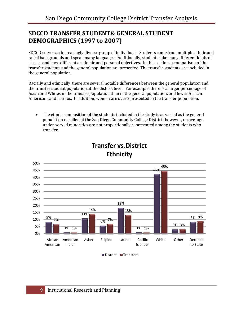#### **SDCCD TRANSFER STUDENT& GENERAL STUDENT DEMOGRAPHICS (1997 to 2007)**

SDCCD serves an increasingly diverse group of individuals. Students come from multiple ethnic and racial backgrounds and speak many languages. Additionally, students take many different kinds of classes and have different academic and personal objectives. In this section, a comparison of the transfer students and the general population are presented. The transfer students are included in the general population.

Racially and ethnically, there are several notable differences between the general population and the transfer student population at the district level. For example, there is a larger percentage of Asian and Whites in the transfer population than in the general population, and fewer African Americans and Latinos. In addition, women are overrepresented in the transfer population.

• The ethnic composition of the students included in the study is as varied as the general population enrolled at the San Diego Community College District; however, on average under‐served minorities are not proportionally represented among the students who transfer.



#### **Transfer vs.District Ethnicity**

District Transfers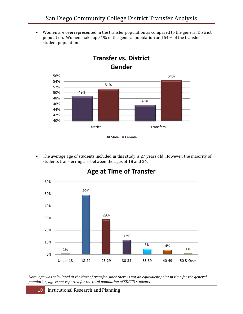• Women are overrepresented in the transfer population as compared to the general District population. Women make up 51% of the general population and 54% of the transfer student population.

**Transfer vs. District**



#### • The average age of students included in this study is 27 years old. However, the majority of students transferring are between the ages of 18 and 24.



#### **Age at Time of Transfer**

Note: Age was calculated at the time of transfer, since there is not an equivalent point in time for the general *population, age is not reported for the total population of SDCCD students.*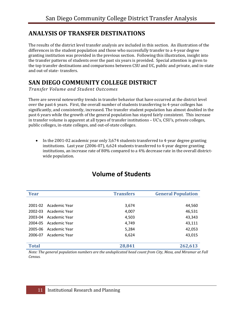#### **ANALYSIS OF TRANSFER DESTINATIONS**

The results of the district level transfer analysis are included in this section. An illustration of the differences in the student population and those who successfully transfer to a 4‐year degree granting institution was provided in the previous section. Following this illustration, insight into the transfer patterns of students over the past six years is provided. Special attention is given to the top transfer destinations and comparisons between CSU and UC, public and private, and in‐state and out‐of state‐ transfers.

## **SAN DIEGO COMMUNITY COLLEGE DISTRICT**

*Transfer Volume and Student Outcomes*

There are several noteworthy trends in transfer behavior that have occurred at the district level over the past 6 years. First, the overall number of students transferring to 4‐year colleges has significantly, and consistently, increased. The transfer student population has almost doubled in the past 6 years while the growth of the general population has stayed fairly consistent. This increase in transfer volume is apparent at all types of transfer institutions – UC's, CSU's, private colleges, public colleges, in‐state colleges, and out‐of‐state colleges.

• In the 2001-02 academic year only 3,674 students transferred to 4-year degree granting institutions. Last year (2006‐07), 6,624 students transferred to 4‐year degree granting institutions, an increase rate of 80% compared to a 4% decrease rate in the overall districtwide population.

| <b>Year</b>  |                       | <b>Transfers</b> | <b>General Population</b> |
|--------------|-----------------------|------------------|---------------------------|
|              |                       |                  |                           |
|              | 2001-02 Academic Year | 3,674            | 44,560                    |
| 2002-03      | Academic Year         | 4,007            | 46,531                    |
|              | 2003-04 Academic Year | 4,503            | 43,343                    |
| 2004-05      | Academic Year         | 4,749            | 43,111                    |
| 2005-06      | Academic Year         | 5,284            | 42,053                    |
| 2006-07      | Academic Year         | 6,624            | 43,015                    |
|              |                       |                  |                           |
| <b>Total</b> |                       | 28,841           | 262,613                   |

## **Volume of Students**

*Note: The general population numbers are the unduplicated head count from City, Mesa, and Miramar at Fall Census.*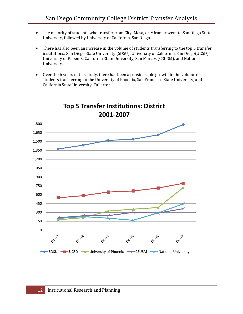- The majority of students who transfer from City, Mesa, or Miramar went to San Diego State University, followed by University of California, San Diego.
- There has also been an increase in the volume of students transferring to the top 5 transfer institutions: San Diego State University (SDSU), University of California, San Diego(UCSD), University of Phoenix, California State University, San Marcos (CSUSM), and National University.
- Over the 6 years of this study, there has been a considerable growth in the volume of students transferring to the University of Phoenix, San Francisco State University, and California State University, Fullerton.



## **Top 5 Transfer Institutions: District 2001‐2007**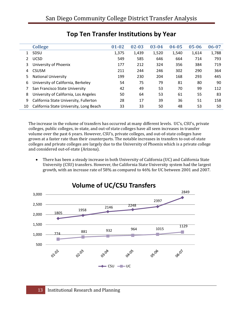|    | <b>College</b>                          | $01 - 02$ | $02 - 03$ | 03-04 | $04 - 05$ | 05-06 | $06 - 07$ |
|----|-----------------------------------------|-----------|-----------|-------|-----------|-------|-----------|
| 1  | SDSU                                    | 1,375     | 1,439     | 1,520 | 1,540     | 1,614 | 1,788     |
| 2  | <b>UCSD</b>                             | 549       | 585       | 646   | 664       | 714   | 793       |
| 3  | University of Phoenix                   | 177       | 212       | 324   | 356       | 384   | 719       |
| 4  | <b>CSUSM</b>                            | 211       | 244       | 246   | 302       | 290   | 364       |
| 5  | <b>National University</b>              | 199       | 230       | 204   | 168       | 293   | 445       |
| 6  | University of California, Berkeley      | 54        | 75        | 79    | 81        | 80    | 90        |
|    | San Francisco State University          | 42        | 49        | 53    | 70        | 99    | 112       |
| 8  | University of California, Los Angeles   | 50        | 64        | 53    | 61        | 55    | 83        |
| 9  | California State University, Fullerton  | 28        | 17        | 39    | 36        | 51    | 158       |
| 10 | California State University, Long Beach | 33        | 33        | 50    | 48        | 53    | 50        |

## **Top Ten Transfer Institutions by Year**

The increase in the volume of transfers has occurred at many different levels. UC's, CSU's, private colleges, public colleges, in‐state, and out‐of state colleges have all seen increases in transfer volume over the past 6 years. However, CSU's, private colleges, and out‐of‐state colleges have grown at a faster rate than their counterparts. The notable increases in transfers to out‐of‐state colleges and private colleges are largely due to the University of Phoenix which is a private college and considered out‐of‐state (Arizona).

• There has been a steady increase in both University of California (UC) and California State University (CSU) transfers. However, the California State University system had the largest growth, with an increase rate of 58% as compared to 46% for UC between 2001 and 2007.

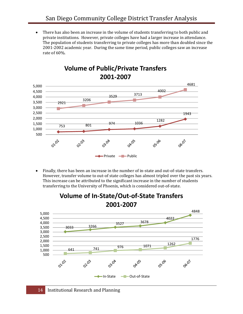• There has also been an increase in the volume of students transferring to both public and private institutions. However, private colleges have had a larger increase in attendance. The population of students transferring to private colleges has more than doubled since the 2001‐2002 academic year. During the same time period, public colleges saw an increase rate of 60%.



#### **Volume of Public/Private Transfers 2001‐2007**

• Finally, there has been an increase in the number of in‐state and out‐of‐state transfers. However, transfer volume to out-of state colleges has almost tripled over the past six years. This increase can be attributed to the significant increase in the number of students transferring to the University of Phoenix, which is considered out‐of‐state.



#### **Volume of In‐State/Out‐of‐State Transfers 2001‐2007**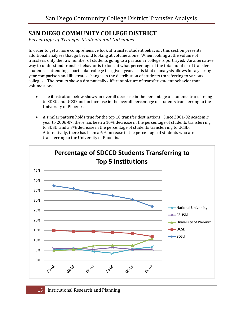#### **SAN DIEGO COMMUNITY COLLEGE DISTRICT**

*Percentage of Transfer Students and Outcomes*

In order to get a more comprehensive look at transfer student behavior, this section presents additional analyses that go beyond looking at volume alone. When looking at the volume of transfers, only the raw number of students going to a particular college is portrayed. An alternative way to understand transfer behavior is to look at what percentage of the total number of transfer students is attending a particular college in a given year. This kind of analysis allows for a year by year comparison and illustrates changes in the distribution of students transferring to various colleges. The results show a dramatically different picture of transfer student behavior than volume alone.

- The illustration below shows an overall decrease in the percentage of students transferring to SDSU and UCSD and an increase in the overall percentage of students transferring to the University of Phoenix.
- A similar pattern holds true for the top 10 transfer destinations. Since 2001-02 academic year to 2006‐07, there has been a 10% decrease in the percentage of students transferring to SDSU, and a 3% decrease in the percentage of students transferring to UCSD. Alternatively, there has been a 6% increase in the percentage of students who are transferring to the University of Phoenix.

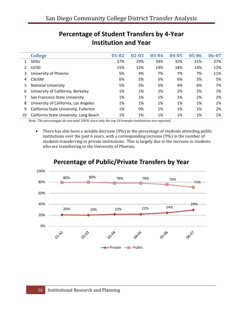|              | <b>College</b>                          | $01 - 02$ | $02 - 03$ | 03-04 | 04-05 | $05 - 06$ | 06-07 |
|--------------|-----------------------------------------|-----------|-----------|-------|-------|-----------|-------|
| $\mathbf{1}$ | <b>SDSU</b>                             | 37%       | 29%       | 34%   | 32%   | 31%       | 27%   |
|              | <b>UCSD</b>                             | 15%       | 12%       | 14%   | 14%   | 14%       | 12%   |
| 3            | University of Phoenix                   | 5%        | 4%        | 7%    | 7%    | 7%        | 11%   |
| 4            | <b>CSUSM</b>                            | 6%        | 5%        | 5%    | 6%    | 5%        | 5%    |
| 5            | <b>National University</b>              | 5%        | 5%        | 5%    | 4%    | 6%        | 7%    |
| 6            | University of California, Berkeley      | 1%        | 1%        | 2%    | 2%    | 2%        | 1%    |
|              | San Francisco State University          | 1%        | 1%        | 1%    | 1%    | 2%        | 2%    |
| 8            | University of California, Los Angeles   | 1%        | 1%        | 1%    | 1%    | 1%        | 1%    |
| 9            | California State University, Fullerton  | 1%        | 0%        | 1%    | 1%    | 1%        | 2%    |
| 10           | California State University, Long Beach | 1%        | 1%        | 1%    | 1%    | 1%        | 1%    |

## **Percentage of Student Transfers by 4‐Year Institution and Year**

*Note: The percentages do not total 100% since only the top 10 transfer institutions are reported.*

• There has also been a notable decrease (9%) in the percentage of students attending public institutions over the past 6 years, with a corresponding increase (9%) in the number of students transferring to private institutions. This is largely due to the increase in students who are transferring to the University of Phoenix.



## **Percentage of Public/Private Transfers by Year**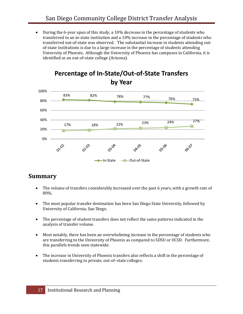• During the 6‐year span of this study, a 10% decrease in the percentage of students who transferred to an in‐state institution and a 10% increase in the percentage of students who transferred out-of-state was observed. The substantial increase in students attending outof-state institutions is due to a large increase in the percentage of students attending University of Phoenix. Although the University of Phoenix has campuses in California, it is identified as an out‐of‐state college (Arizona).



#### **Percentage of In‐State/Out‐of‐State Transfers by Year**

#### **Summary**

- The volume of transfers considerably increased over the past 6 years, with a growth rate of 80%.
- The most popular transfer destination has been San Diego State University, followed by University of California, San Diego.
- The percentage of student transfers does not reflect the same patterns indicated in the analysis of transfer volume.
- Most notably, there has been an overwhelming increase in the percentage of students who are transferring to the University of Phoenix as compared to SDSU or UCSD. Furthermore, this parallels trends seen statewide.
- The increase in University of Phoenix transfers also reflects a shift in the percentage of students transferring to private, out‐of–state colleges.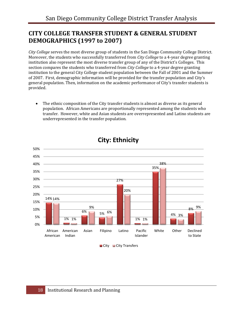### **CITY COLLEGE TRANSFER STUDENT & GENERAL STUDENT DEMOGRAPHICS (1997 to 2007)**

*City College* serves the most diverse group of students in the San Diego Community College District. Moreover, the students who successfully transferred from *City College* to a 4‐year degree granting institution also represent the most diverse transfer group of any of the District's Colleges. This section compares the students who transferred from *City College* to a 4‐year degree granting institution to the general City College student population between the Fall of 2001 and the Summer of 2007. First, demographic information will be provided for the transfer population and City's general population. Then, information on the academic performance of City's transfer students is provided.

• The ethnic composition of the City transfer students is almost as diverse as its general population. African Americans are proportionally represented among the students who transfer. However, white and Asian students are overrepresented and Latino students are underrepresented in the transfer population.



### **City: Ethnicity**

City City Transfers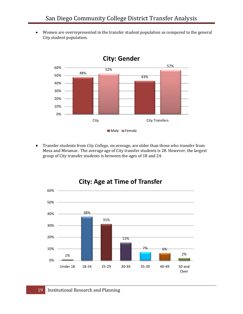• Women are overrepresented in the transfer student population as compared to the general City student population.



• Transfer students from *City College*, on average, are older than those who transfer from Mesa and Miramar. The average age of City transfer students is 28. However, the largest group of City transfer students is between the ages of 18 and 24.

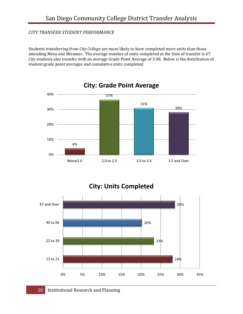#### *CITY TRANSFER STUDENT PERFORMANCE*

Students transferring from *City College* are more likely to have completed more units than those attending Mesa and Miramar. The average number of units completed at the time of transfer is 47. *City* students also transfer with an average Grade Point Average of 3.08. Below is the distribution of student grade point averages and cumulative units completed.



#### **City: Units Completed**

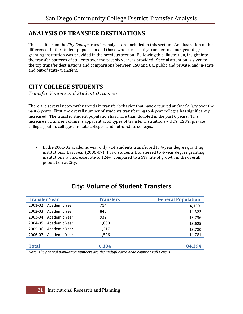#### **ANALYSIS OF TRANSFER DESTINATIONS**

The results from the *City College* transfer analysis are included in this section. An illustration of the differences in the student population and those who successfully transfer to a four‐year degree granting institution was provided in the previous section. Following this illustration, insight into the transfer patterns of students over the past six years is provided. Special attention is given to the top transfer destinations and comparisons between CSU and UC, public and private, and in‐state and out‐of state‐ transfers.

#### **CITY COLLEGE STUDENTS**

*Transfer Volume and Student Outcomes*

There are several noteworthy trends in transfer behavior that have occurred at *City College* over the past 6 years. First, the overall number of students transferring to 4‐year colleges has significantly increased. The transfer student population has more than doubled in the past 6 years. This increase in transfer volume is apparent at all types of transfer institutions – UC's, CSU's, private colleges, public colleges, in‐state colleges, and out‐of‐state colleges.

• In the 2001-02 academic year only 714 students transferred to 4-year degree granting institutions. Last year (2006‐07), 1,596 students transferred to 4‐year degree granting institutions, an increase rate of 124% compared to a 5% rate of growth in the overall population at City.

| <b>Transfer Year</b>     | <b>Transfers</b> | <b>General Population</b> |
|--------------------------|------------------|---------------------------|
| 2001-02 Academic Year    | 714              | 14,150                    |
| Academic Year<br>2002-03 | 845              | 14,322                    |
| 2003-04 Academic Year    | 932              | 13,736                    |
| Academic Year<br>2004-05 | 1,030            | 13,625                    |
| 2005-06 Academic Year    | 1,217            | 13,780                    |
| Academic Year<br>2006-07 | 1,596            | 14,781                    |
|                          |                  |                           |
| <b>Total</b>             | 6,334            | 84,394                    |

## **City: Volume of Student Transfers**

*Note: The general population numbers are the unduplicated head count at Fall Census.*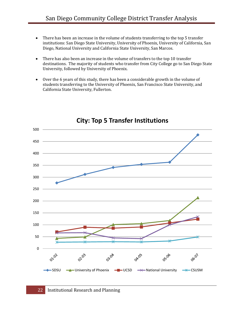- There has been an increase in the volume of students transferring to the top 5 transfer institutions: San Diego State University, University of Phoenix, University of California, San Diego, National University and California State University, San Marcos.
- There has also been an increase in the volume of transfers to the top 10 transfer destinations. The majority of students who transfer from City College go to San Diego State University, followed by University of Phoenix.
- Over the 6 years of this study, there has been a considerable growth in the volume of students transferring to the University of Phoenix, San Francisco State University, and California State University, Fullerton.



#### **City: Top 5 Transfer Institutions**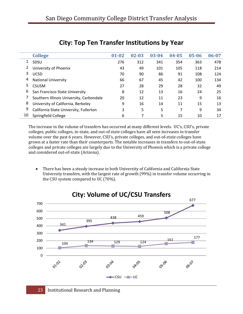|    | <b>College</b>                           | $01 - 02$ | $02 - 03$ | 03-04 | $04 - 05$ | $05 - 06$ | $06 - 07$ |
|----|------------------------------------------|-----------|-----------|-------|-----------|-----------|-----------|
| 1  | SDSU                                     | 276       | 312       | 341   | 354       | 363       | 478       |
| 2  | University of Phoenix                    | 43        | 49        | 101   | 105       | 118       | 214       |
| 3  | <b>UCSD</b>                              | 70        | 90        | 86    | 91        | 108       | 124       |
| 4  | <b>National University</b>               | 66        | 67        | 45    | 42        | 100       | 134       |
| 5  | <b>CSUSM</b>                             | 27        | 28        | 29    | 28        | 32        | 49        |
| 6  | San Francisco State University           | 8         | 12        | 13    | 16        | 24        | 25        |
|    | Southern Illinois University, Carbondale | 20        | 12        | 11    | 23        | 9         | 16        |
| 8  | University of California, Berkeley       | 9         | 16        | 14    | 11        | 15        | 13        |
| 9  | California State University, Fullerton   | 3         | 5         | 5     | 7         | 9         | 34        |
| 10 | Springfield College                      | 6         |           | 5     | 15        | 10        | 17        |

#### **City: Top Ten Transfer Institutions by Year**

The increase in the volume of transfers has occurred at many different levels. UC's, CSU's, private colleges, public colleges, in‐state, and out‐of state colleges have all seen increases in transfer volume over the past 6 years. However, CSU's, private colleges, and out‐of‐state colleges have grown at a faster rate than their counterparts. The notable increases in transfers to out‐of‐state colleges and private colleges are largely due to the University of Phoenix which is a private college and considered out‐of‐state (Arizona).

• There has been a steady increase in both University of California and California State University transfers, with the largest rate of growth (99%) in transfer volume occurring in the CSU system compared to UC (70%).



## **City: Volume of UC/CSU Transfers**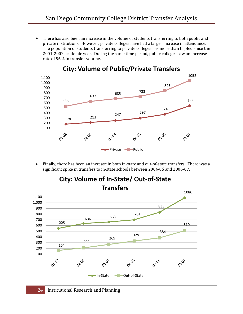• There has also been an increase in the volume of students transferring to both public and private institutions. However, private colleges have had a larger increase in attendance. The population of students transferring to private colleges has more than tripled since the 2001‐2002 academic year. During the same time period, public colleges saw an increase rate of 96% in transfer volume.



#### **City: Volume of Public/Private Transfers**

• Finally, there has been an increase in both in‐state and out‐of‐state transfers. There was a significant spike in transfers to in‐state schools between 2004‐05 and 2006‐07.

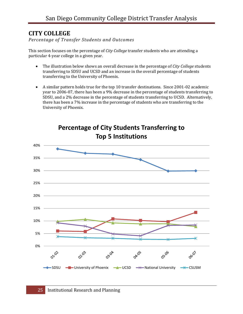#### **CITY COLLEGE**

*Percentage of Transfer Students and Outcomes*

This section focuses on the percentage of *City College* transfer students who are attending a particular 4‐year college in a given year.

- The illustration below shows an overall decrease in the percentage of *City College* students transferring to SDSU and UCSD and an increase in the overall percentage of students transferring to the University of Phoenix.
- A similar pattern holds true for the top 10 transfer destinations. Since 2001‐02 academic year to 2006‐07, there has been a 9% decrease in the percentage of students transferring to SDSU, and a 2% decrease in the percentage of students transferring to UCSD. Alternatively, there has been a 7% increase in the percentage of students who are transferring to the University of Phoenix.



**Percentage of City Students Transferring to Top 5 Institutions**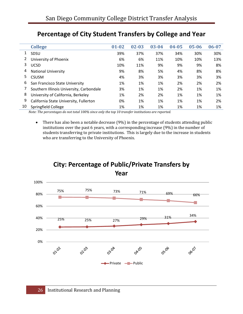|    | <b>College</b>                           | $01 - 02$ | $02 - 03$ | 03-04 | $04 - 05$ | 05-06 | 06-07 |
|----|------------------------------------------|-----------|-----------|-------|-----------|-------|-------|
|    | SDSU                                     | 39%       | 37%       | 37%   | 34%       | 30%   | 30%   |
|    | University of Phoenix                    | 6%        | 6%        | 11%   | 10%       | 10%   | 13%   |
| 3  | UCSD                                     | 10%       | 11%       | 9%    | 9%        | 9%    | 8%    |
| 4  | <b>National University</b>               | 9%        | 8%        | 5%    | 4%        | 8%    | 8%    |
| 5  | <b>CSUSM</b>                             | 4%        | 3%        | 3%    | 3%        | 3%    | 3%    |
| 6  | San Francisco State University           | 1%        | 1%        | 1%    | 2%        | 2%    | 2%    |
|    | Southern Illinois University, Carbondale | 3%        | 1%        | 1%    | 2%        | 1%    | 1%    |
| 8  | University of California, Berkeley       | 1%        | 2%        | 2%    | 1%        | 1%    | 1%    |
| 9  | California State University, Fullerton   | 0%        | 1%        | 1%    | 1%        | 1%    | 2%    |
| 10 | Springfield College                      | 1%        | 1%        | 1%    | 1%        | 1%    | 1%    |

## **Percentage of City Student Transfers by College and Year**

*Note: The percentages do not total 100% since only the top 10 transfer institutions are reported.*

• There has also been a notable decrease (9%) in the percentage of students attending public institutions over the past 6 years, with a corresponding increase (9%) in the number of students transferring to private institutions. This is largely due to the increase in students who are transferring to the University of Phoenix.



Private **-**Public

**OAX**OS

06-07

05106

03.04

# **City: Percentage of Public/Private Transfers by**

02.03

01102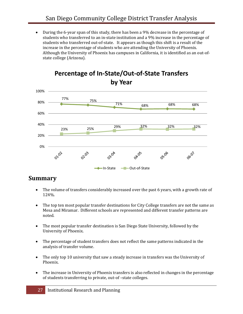• During the 6‐year span of this study, there has been a 9% decrease in the percentage of students who transferred to an in‐state institution and a 9% increase in the percentage of students who transferred out‐of‐state. It appears as though this shift is a result of the increase in the percentage of students who are attending the University of Phoenix. Although the University of Phoenix has campuses in California, it is identified as an out‐of‐ state college (Arizona).



#### **Percentage of In‐State/Out‐of‐State Transfers by Year**

#### **Summary**

- The volume of transfers considerably increased over the past 6 years, with a growth rate of 124%.
- The top ten most popular transfer destinations for City College transfers are not the same as Mesa and Miramar. Different schools are represented and different transfer patterns are noted.
- The most popular transfer destination is San Diego State University, followed by the University of Phoenix.
- The percentage of student transfers does not reflect the same patterns indicated in the analysis of transfer volume.
- The only top 10 university that saw a steady increase in transfers was the University of Phoenix.
- The increase in University of Phoenix transfers is also reflected in changes in the percentage of students transferring to private, out‐of –state colleges.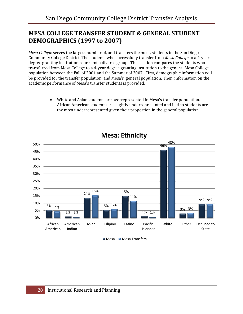#### **MESA COLLEGE TRANSFER STUDENT & GENERAL STUDENT DEMOGRAPHICS (1997 to 2007)**

*Mesa College* serves the largest number of, and transfers the most, students in the San Diego Community College District. The students who successfully transfer from *Mesa College* to a 4‐year degree granting institution represent a diverse group. This section compares the students who transferred from Mesa College to a 4‐year degree granting institution to the general Mesa College population between the Fall of 2001 and the Summer of 2007. First, demographic information will be provided for the transfer population and Mesa's general population. Then, information on the academic performance of Mesa's transfer students is provided.

> • White and Asian students are overrepresented in Mesa's transfer population. African American students are slightly underrepresented and Latino students are the most underrepresented given their proportion in the general population.



#### **Mesa: Ethnicity**

■ Mesa ■ Mesa Transfers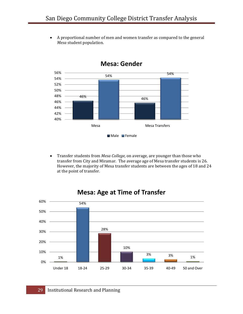• A proportional number of men and women transfer as compared to the general *Mesa* student population.



#### **Mesa: Gender**

• Transfer students from *Mesa College*, on average, are younger than those who transfer from City and Miramar. The average age of Mesa transfer students is 26. However, the majority of Mesa transfer students are between the ages of 18 and 24 at the point of transfer.



#### **Mesa: Age at Time of Transfer**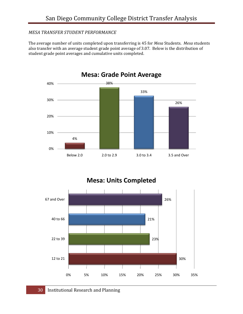#### *MESA TRANSFER STUDENT PERFORMANCE*

The average number of units completed upon transferring is 45 for *Mesa* Students. *Mesa* students also transfer with an average student grade point average of 3.07. Below is the distribution of student grade point averages and cumulative units completed.



**Mesa: Units Completed**

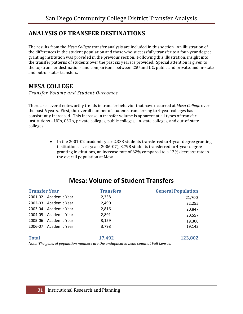#### **ANALYSIS OF TRANSFER DESTINATIONS**

The results from the *Mesa College* transfer analysis are included in this section. An illustration of the differences in the student population and those who successfully transfer to a four‐year degree granting institution was provided in the previous section. Following this illustration, insight into the transfer patterns of students over the past six years is provided. Special attention is given to the top transfer destinations and comparisons between CSU and UC, public and private, and in‐state and out‐of state‐ transfers.

#### **MESA COLLEGE**

*Transfer Volume and Student Outcomes*

There are several noteworthy trends in transfer behavior that have occurred at *Mesa College* over the past 6 years. First, the overall number of students transferring to 4‐year colleges has consistently increased. This increase in transfer volume is apparent at all types of transfer institutions – UC's, CSU's, private colleges, public colleges, in‐state colleges, and out‐of‐state colleges.

> • In the 2001-02 academic year 2,338 students transferred to 4-year degree granting institutions. Last year (2006‐07), 3,798 students transferred to 4‐year degree granting institutions, an increase rate of 62% compared to a 12% decrease rate in the overall population at Mesa.

|               | <b>Transfers</b>                                 | <b>General Population</b> |
|---------------|--------------------------------------------------|---------------------------|
| Academic Year | 2,338                                            | 21,700                    |
| Academic Year | 2,490                                            | 22,255                    |
| Academic Year | 2,816                                            | 20,847                    |
| Academic Year | 2,891                                            | 20,557                    |
|               | 3,159                                            | 19,300                    |
| Academic Year | 3,798                                            | 19,143                    |
|               | 17,492                                           | 123,802                   |
|               | <b>Transfer Year</b><br>2004-05<br>Academic Year |                           |

#### **Mesa: Volume of Student Transfers**

*Note: The general population numbers are the unduplicated head count at Fall Census.*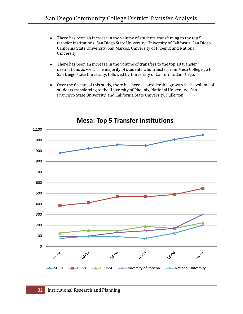- There has been an increase in the volume of students transferring to the top 5 transfer institutions: San Diego State University, University of California, San Diego, California State University, San Marcos, University of Phoenix and National University.
- There has been an increase in the volume of transfers to the top 10 transfer destinations as well. The majority of students who transfer from Mesa College go to San Diego State University, followed by University of California, San Diego.
- Over the 6 years of this study, there has been a considerable growth in the volume of students transferring to the University of Phoenix, National University, San Francisco State University, and California State University, Fullerton.



#### **Mesa: Top 5 Transfer Institutions**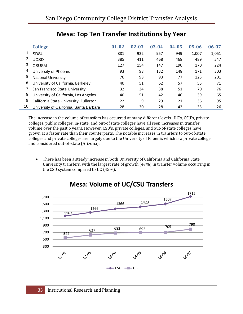|    | <b>College</b>                          | $01 - 02$ | $02 - 03$ | 03-04 | 04-05 | $05 - 06$ | 06-07 |
|----|-----------------------------------------|-----------|-----------|-------|-------|-----------|-------|
|    | <b>SDSU</b>                             | 881       | 922       | 957   | 949   | 1,007     | 1,051 |
| 2  | <b>UCSD</b>                             | 385       | 411       | 468   | 468   | 489       | 547   |
| 3  | <b>CSUSM</b>                            | 127       | 154       | 147   | 190   | 170       | 224   |
| 4  | University of Phoenix                   | 93        | 98        | 132   | 148   | 171       | 303   |
| 5  | <b>National University</b>              | 76        | 98        | 93    | 77    | 125       | 201   |
| 6  | University of California, Berkeley      | 40        | 51        | 62    | 57    | 55        | 71    |
|    | San Francisco State University          | 32        | 34        | 38    | 51    | 70        | 76    |
| 8  | University of California, Los Angeles   | 40        | 51        | 42    | 46    | 39        | 65    |
| 9  | California State University, Fullerton  | 22        | 9         | 29    | 21    | 36        | 95    |
| 10 | University of California, Santa Barbara | 28        | 30        | 28    | 42    | 35        | 26    |

## **Mesa: Top Ten Transfer Institutions by Year**

The increase in the volume of transfers has occurred at many different levels. UC's, CSU's, private colleges, public colleges, in‐state, and out‐of state colleges have all seen increases in transfer volume over the past 6 years. However, CSU's, private colleges, and out‐of‐state colleges have grown at a faster rate than their counterparts. The notable increases in transfers to out‐of‐state colleges and private colleges are largely due to the University of Phoenix which is a private college and considered out‐of‐state (Arizona).

• There has been a steady increase in both University of California and California State University transfers, with the largest rate of growth (47%) in transfer volume occurring in the CSU system compared to UC (45%).



#### **Mesa: Volume of UC/CSU Transfers**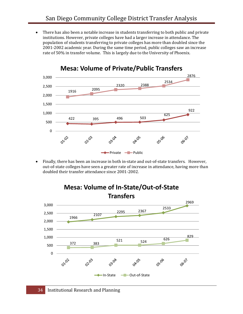• There has also been a notable increase in students transferring to both public and private institutions. However, private colleges have had a larger increase in attendance. The population of students transferring to private colleges has more than doubled since the 2001‐2002 academic year. During the same time period, public colleges saw an increase rate of 50% in transfer volume. This is largely due to the University of Phoenix.



#### **Mesa: Volume of Private/Public Transfers**

Finally, there has been an increase in both in-state and out-of-state transfers. However, out‐of‐state colleges have seen a greater rate of increase in attendance, having more than doubled their transfer attendance since 2001‐2002.

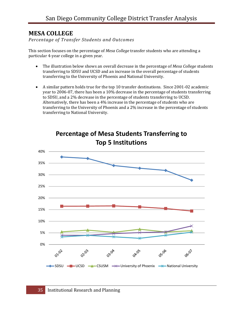#### **MESA COLLEGE**

*Percentage of Transfer Students and Outcomes*

This section focuses on the percentage of *Mesa College* transfer students who are attending a particular 4‐year college in a given year.

- The illustration below shows an overall decrease in the percentage of *Mesa College* students transferring to SDSU and UCSD and an increase in the overall percentage of students transferring to the University of Phoenix and National University.
- A similar pattern holds true for the top 10 transfer destinations. Since 2001‐02 academic year to 2006‐07, there has been a 10% decrease in the percentage of students transferring to SDSU, and a 2% decrease in the percentage of students transferring to UCSD. Alternatively, there has been a 4% increase in the percentage of students who are transferring to the University of Phoenix and a 2% increase in the percentage of students transferring to National University.



**Percentage of Mesa Students Transferring to Top 5 Institutions**

#### 35 Institutional Research and Planning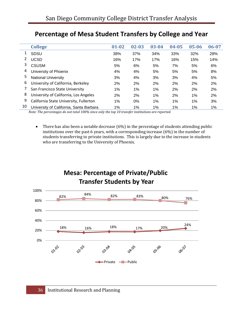|    | <b>College</b>                          | $01 - 02$ | $02 - 03$ | $03 - 04$ | $04 - 05$ | $05 - 06$ | $06 - 07$ |
|----|-----------------------------------------|-----------|-----------|-----------|-----------|-----------|-----------|
|    | <b>SDSU</b>                             | 38%       | 37%       | 34%       | 33%       | 32%       | 28%       |
| 2  | <b>UCSD</b>                             | 16%       | 17%       | 17%       | 16%       | 15%       | 14%       |
| 3  | <b>CSUSM</b>                            | 5%        | 6%        | 5%        | 7%        | 5%        | 6%        |
| 4  | University of Phoenix                   | 4%        | 4%        | 5%        | 5%        | 5%        | 8%        |
| 5  | <b>National University</b>              | 3%        | 4%        | 3%        | 3%        | 4%        | 5%        |
| 6  | University of California, Berkeley      | 2%        | 2%        | 2%        | 2%        | 2%        | 2%        |
|    | San Francisco State University          | 1%        | $1\%$     | 1%        | 2%        | 2%        | 2%        |
| 8  | University of California, Los Angeles   | 2%        | 2%        | 1%        | 2%        | 1%        | 2%        |
| 9  | California State University, Fullerton  | 1%        | $0\%$     | 1%        | 1%        | 1%        | 3%        |
| 10 | University of California, Santa Barbara | 1%        | 1%        | 1%        | 1%        | 1%        | 1%        |

## **Percentage of Mesa Student Transfers by College and Year**

*Note: The percentages do not total 100% since only the top 10 transfer institutions are reported.*

• There has also been a notable decrease (6%) in the percentage of students attending public institutions over the past 6 years, with a corresponding increase (6%) in the number of students transferring to private institutions. This is largely due to the increase in students who are transferring to the University of Phoenix.



**Mesa: Percentage of Private/Public**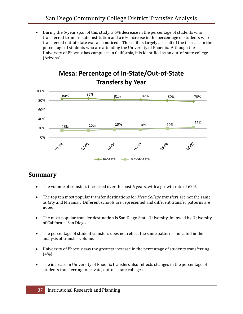• During the 6‐year span of this study, a 6% decrease in the percentage of students who transferred to an in‐state institution and a 6% increase in the percentage of students who transferred out‐of‐state was also noticed. This shift is largely a result of the increase in the percentage of students who are attending the University of Phoenix. Although the University of Phoenix has campuses in California, it is identified as an out‐of‐state college (Arizona).



## **Mesa: Percentage of In‐State/Out‐of‐State Transfers by Year**

#### **Summary**

- The volume of transfers increased over the past 6 years, with a growth rate of 62%.
- The top ten most popular transfer destinations for *Mesa College* transfers are not the same as City and Miramar. Different schools are represented and different transfer patterns are noted.
- The most popular transfer destination is San Diego State University, followed by University of California, San Diego.
- The percentage of student transfers does not reflect the same patterns indicated in the analysis of transfer volume.
- University of Phoenix saw the greatest increase in the percentage of students transferring  $(4\%)$ .
- The increase in University of Phoenix transfers also reflects changes in the percentage of students transferring to private, out‐of –state colleges.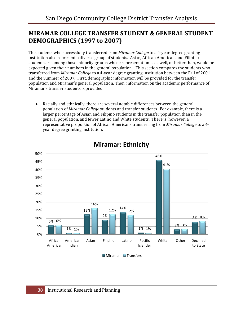#### **MIRAMAR COLLEGE TRANSFER STUDENT & GENERAL STUDENT DEMOGRAPHICS (1997 to 2007)**

The students who successfully transferred from *Miramar College* to a 4‐year degree granting institution also represent a diverse group of students. Asian, African American, and Filipino students are among those minority groups whose representation is as well, or better than, would be expected given their numbers in the general population. This section compares the students who transferred from *Miramar College* to a 4‐year degree granting institution between the Fall of 2001 and the Summer of 2007. First, demographic information will be provided for the transfer population and Miramar's general population. Then, information on the academic performance of Miramar's transfer students is provided.

• Racially and ethnically, there are several notable differences between the general population of *Miramar College* students and transfer students. For example, there is a larger percentage of Asian and Filipino students in the transfer population than in the general population, and fewer Latino and White students. There is, however, a representative proportion of African Americans transferring from *Miramar College* to a 4‐ year degree granting institution.



#### **Miramar: Ethnicity**

 $M$ Miramar  $M$ Transfers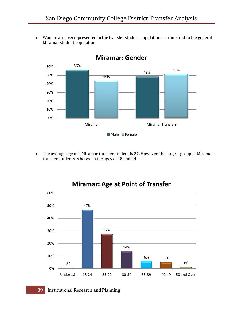• Women are overrepresented in the transfer student population as compared to the general Miramar student population.



#### **Miramar: Gender**

• The average age of a Miramar transfer student is 27. However, the largest group of Miramar transfer students is between the ages of 18 and 24.



#### 39 Institutional Research and Planning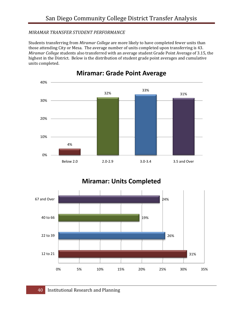#### *MIRAMAR TRANSFER STUDENT PERFORMANCE*

Students transferring from *Miramar College* are more likely to have completed fewer units than those attending City or Mesa. The average number of units completed upon transferring is 43. *Miramar College* students also transferred with an average student Grade Point Average of 3.15, the highest in the District. Below is the distribution of student grade point averages and cumulative units completed.



#### **Miramar: Grade Point Average**

**Miramar: Units Completed**

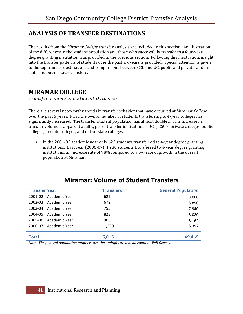#### **ANALYSIS OF TRANSFER DESTINATIONS**

The results from the *Miramar College* transfer analysis are included in this section. An illustration of the differences in the student population and those who successfully transfer to a four‐year degree granting institution was provided in the previous section. Following this illustration, insight into the transfer patterns of students over the past six years is provided. Special attention is given to the top transfer destinations and comparisons between CSU and UC, public and private, and in‐ state and out‐of state‐ transfers.

#### **MIRAMAR COLLEGE**

*Transfer Volume and Student Outcomes*

There are several noteworthy trends in transfer behavior that have occurred at *Miramar College* over the past 6 years. First, the overall number of students transferring to 4‐year colleges has significantly increased. The transfer student population has almost doubled. This increase in transfer volume is apparent at all types of transfer institutions – UC's, CSU's, private colleges, public colleges, in‐state colleges, and out‐of‐state colleges.

• In the 2001-02 academic year only 622 students transferred to 4-year degree granting institutions. Last year (2006‐07), 1,230 students transferred to 4‐year degree granting institutions, an increase rate of 98% compared to a 5% rate of growth in the overall population at Miramar.

| <b>Transfer Year</b> |                       | <b>Transfers</b> | <b>General Population</b> |
|----------------------|-----------------------|------------------|---------------------------|
|                      | 2001-02 Academic Year | 622              | 8,000                     |
| 2002-03              | - Academic Year       | 672              | 8,890                     |
| 2003-04              | Academic Year         | 755              | 7,940                     |
|                      | 2004-05 Academic Year | 828              | 8,080                     |
| 2005-06              | - Academic Year       | 908              | 8,162                     |
| 2006-07              | Academic Year         | 1,230            | 8,397                     |
| <b>Total</b>         |                       | 5,015            | 49.469                    |

#### **Miramar: Volume of Student Transfers**

*Note: The general population numbers are the unduplicated head count at Fall Census.*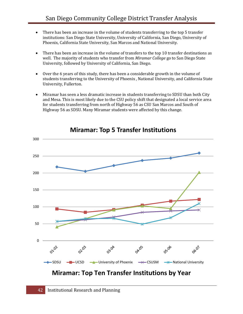- There has been an increase in the volume of students transferring to the top 5 transfer institutions: San Diego State University, University of California, San Diego, University of Phoenix, California State University, San Marcos and National University.
- There has been an increase in the volume of transfers to the top 10 transfer destinations as well. The majority of students who transfer from *Miramar College* go to San Diego State University, followed by University of California, San Diego.
- Over the 6 years of this study, there has been a considerable growth in the volume of students transferring to the University of Phoenix , National University, and California State University, Fullerton.
- Miramar has seen a less dramatic increase in students transferring to SDSU than both City and Mesa. This is most likely due to the CSU policy shift that designated a local service area for students transferring from north of Highway 56 as CSU San Marcos and South of Highway 56 as SDSU. Many Miramar students were affected by this change.



**Miramar: Top 5 Transfer Institutions**

## **Miramar: Top Ten Transfer Institutions by Year**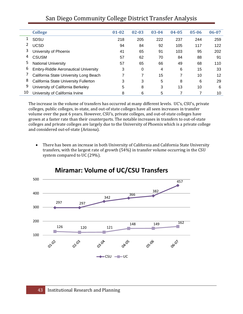|    | <b>College</b>                              | $01 - 02$ | $02 - 03$ | $03 - 04$ | $04 - 05$ | $05 - 06$ | 06-07 |
|----|---------------------------------------------|-----------|-----------|-----------|-----------|-----------|-------|
| 1  | <b>SDSU</b>                                 | 218       | 205       | 222       | 237       | 244       | 259   |
|    | <b>UCSD</b>                                 | 94        | 84        | 92        | 105       | 117       | 122   |
| 3  | University of Phoenix                       | 41        | 65        | 91        | 103       | 95        | 202   |
| 4  | <b>CSUSM</b>                                | 57        | 62        | 70        | 84        | 88        | 91    |
| 5  | <b>National University</b>                  | 57        | 65        | 66        | 49        | 68        | 110   |
| 6  | <b>Embry-Riddle Aeronautical University</b> | 3         | 0         | 4         | 6         | 15        | 33    |
|    | California State University Long Beach      | ⇁         | 7         | 15        | 7         | 10        | 12    |
| 8  | California State University Fullerton       | 3         | 3         | 5         | 8         | 6         | 29    |
| 9  | University of California Berkeley           | 5         | 8         | 3         | 13        | 10        | 6     |
| 10 | University of California Irvine             | 8         | 6         | 5         |           |           | 10    |

#### San Diego Community College District Transfer Analysis

The increase in the volume of transfers has occurred at many different levels. UC's, CSU's, private colleges, public colleges, in‐state, and out‐of state colleges have all seen increases in transfer volume over the past 6 years. However, CSU's, private colleges, and out‐of‐state colleges have grown at a faster rate than their counterparts. The notable increases in transfers to out‐of‐state colleges and private colleges are largely due to the University of Phoenix which is a private college and considered out‐of‐state (Arizona).

• There has been an increase in both University of California and California State University transfers, with the largest rate of growth (54%) in transfer volume occurring in the CSU system compared to UC (29%).



#### **Miramar: Volume of UC/CSU Transfers**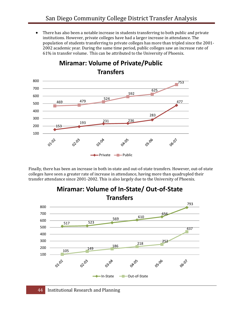• There has also been a notable increase in students transferring to both public and private institutions. However, private colleges have had a larger increase in attendance. The population of students transferring to private colleges has more than tripled since the 2001‐ 2002 academic year. During the same time period, public colleges saw an increase rate of 61% in transfer volume. This can be attributed to the University of Phoenix.



Finally, there has been an increase in both in‐state and out‐of‐state transfers. However, out‐of‐state colleges have seen a greater rate of increase in attendance, having more than quadrupled their transfer attendance since 2001‐2002. This is also largely due to the University of Phoenix.



## **Miramar: Volume of In‐State/ Out‐of‐State**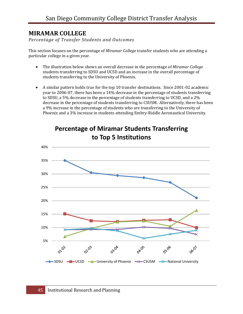#### **MIRAMAR COLLEGE**

*Percentage of Transfer Students and Outcomes*

This section focuses on the percentage of *Miramar College* transfer students who are attending a particular college in a given year.

- The illustration below shows an overall decrease in the percentage of *Miramar College* students transferring to SDSU and UCSD and an increase in the overall percentage of students transferring to the University of Phoenix.
- A similar pattern holds true for the top 10 transfer destinations. Since 2001‐02 academic year to 2006‐07, there has been a 14% decrease in the percentage of students transferring to SDSU, a 5% decrease in the percentage of students transferring to UCSD, and a 2% decrease in the percentage of students transferring to CSUSM. Alternatively, there has been a 9% increase in the percentage of students who are transferring to the University of Phoenix and a 3% increase in students attending Embry‐Riddle Aeronautical University.



## **Percentage of Miramar Students Transferring to Top 5 Institutions**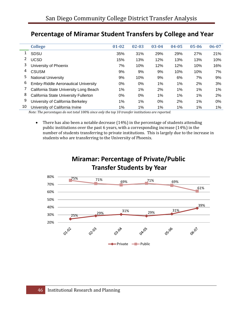|    | <b>College</b>                              | $01 - 02$ | $02 - 03$ | $03 - 04$ | $04 - 05$ | $05 - 06$ | $06 - 07$ |
|----|---------------------------------------------|-----------|-----------|-----------|-----------|-----------|-----------|
|    | SDSU                                        | 35%       | 31%       | 29%       | 29%       | 27%       | 21%       |
| 2  | <b>UCSD</b>                                 | 15%       | 13%       | 12%       | 13%       | 13%       | 10%       |
| 3  | University of Phoenix                       | 7%        | 10%       | 12%       | 12%       | 10%       | 16%       |
| 4  | <b>CSUSM</b>                                | 9%        | 9%        | 9%        | 10%       | 10%       | 7%        |
| 5  | <b>National University</b>                  | 9%        | 10%       | 9%        | 6%        | 7%        | 9%        |
| 6  | <b>Embry-Riddle Aeronautical University</b> | $0\%$     | $0\%$     | $1\%$     | $1\%$     | 2%        | 3%        |
|    | California State University Long Beach      | 1%        | 1%        | 2%        | 1%        | 1%        | 1%        |
| 8  | California State University Fullerton       | 0%        | 0%        | 1%        | 1%        | 1%        | 2%        |
| 9  | University of California Berkeley           | 1%        | 1%        | 0%        | 2%        | 1%        | 0%        |
| 10 | University of California Irvine             | 1%        | 1%        | 1%        | $1\%$     | 1%        | 1%        |

## **Percentage of Miramar Student Transfers by College and Year**

*Note: The percentages do not total 100% since only the top 10 transfer institutions are reported.*

• There has also been a notable decrease (14%) in the percentage of students attending public institutions over the past 6 years, with a corresponding increase (14%) in the number of students transferring to private institutions. This is largely due to the increase in students who are transferring to the University of Phoenix.

## **Miramar: Percentage of Private/Public Transfer Students by Year**

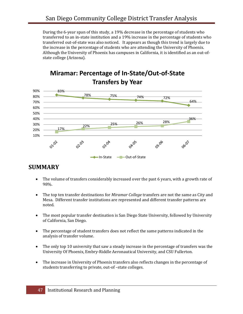During the 6‐year span of this study, a 19% decrease in the percentage of students who transferred to an in‐state institution and a 19% increase in the percentage of students who transferred out‐of‐state was also noticed. It appears as though this trend is largely due to the increase in the percentage of students who are attending the University of Phoenix. Although the University of Phoenix has campuses in California, it is identified as an out‐of‐ state college (Arizona).





#### **SUMMARY**

- The volume of transfers considerably increased over the past 6 years, with a growth rate of 98%.
- The top ten transfer destinations for *Miramar College* transfers are not the same as City and Mesa. Different transfer institutions are represented and different transfer patterns are noted.
- The most popular transfer destination is San Diego State University, followed by University of California, San Diego.
- The percentage of student transfers does not reflect the same patterns indicated in the analysis of transfer volume.
- The only top 10 university that saw a steady increase in the percentage of transfers was the University Of Phoenix, Embry‐Riddle Aeronautical University, and CSU Fullerton.
- The increase in University of Phoenix transfers also reflects changes in the percentage of students transferring to private, out‐of –state colleges.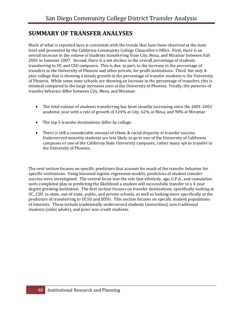#### **SUMMARY OF TRANSFER ANALYSES**

Much of what is reported here is consistent with the trends that have been observed at the state level and presented by the California Community College Chancellor's Office. First, there is an overall increase in the *volume* of students transferring from City, Mesa, and Miramar between Fall 2001 to Summer 2007. Second, there is a net decline in the overall *percentage* of students transferring to UC and CSU campuses. This is due, in part, to the increase in the percentage of transfers to the University of Phoenix and other private, for profit institutions. Third, the only 4‐ year college that is showing a steady growth in the percentage of transfer students is the University of Phoenix. While some state schools are showing an increase in the percentage of transfers, this is minimal compared to the large increases seen at the University of Phoenix. Finally, the patterns of transfer behavior differ between City, Mesa, and Miramar.

- The total volume of students transferring has been steadily increasing since the 2001-2002 academic year with a rate of growth of 124% at City, 62% at Mesa, and 98% at Miramar.
- The top 5 transfer destinations differ by college.
- There is still a considerable amount of ethnic & racial disparity in transfer success. Underserved minority students are less likely to go to one of the University of California campuses or one of the California State University campuses, rather many opt to transfer to the University of Phoenix.

The next section focuses on specific predictors that account for much of the transfer behavior for specific institutions. Using binomial logistic regression models, predictors of student transfer success were investigated. The central focus was the role that ethnicity, age, G.P.A., and cumulative units completed play in predicting the likelihood a student will successfully transfer to a 4‐year degree granting institution. The first section focuses on transfer destinations, specifically looking at UC, CSU, in-state, out-of-state, public, and private schools, as well as looking more specifically at the predictors of transferring to UCSD and SDSU. This section focuses on specific student populations of interests. These include traditionally underserved students (minorities), non‐traditional students (older adults), and prior non‐credit students.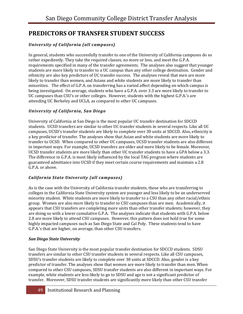#### **PREDICTORS OF TRANSFER STUDENT SUCCESS**

#### *University of California (all campuses)*

In general, students who successfully transfer to one of the University of California campuses do so rather expediently. They take the required classes, no more or less, and meet the G.P.A. requirements specified in many of the transfer agreements. The analyses also suggest that younger students are more likely to transfer to a UC campus than any other college destination. Gender and ethnicity are also key predictors of UC transfer success. The analyses reveal that men are more likely to transfer than women, and Asians and white students are more likely to transfer than minorities. The effect of G.P.A. on transferring has a varied affect depending on which campus is being investigated. On average, students who have a G.P.A. over 3.3 are more likely to transfer to UC campuses than CSU's or other colleges. However, students with the highest G.P.A.'s are attending UC Berkeley and UCLA, as compared to other UC campuses.

#### *University of California, San Diego*

University of California at San Diego is the most popular UC transfer destination for SDCCD students. UCSD transfers are similar to other UC transfer students in several respects. Like all UC campuses, UCSD's transfer students are likely to complete over 30 units at SDCCD. Also, ethnicity is a key predictor of transfer. The analyses show that Asian and white students are more likely to transfer to UCSD. When compared to other UC campuses, UCSD transfer students are also different in important ways. For example, UCSD transfers are older and more likely to be female. Moreover, UCSD transfer students are more likely than other UC transfer students to have a GPA below a 3.3. The difference in G.P.A. is most likely influenced by the local TAG program where students are guaranteed admittance into UCSD if they meet certain course requirements and maintain a 2.8 G.P.A. or above.

#### *California State University (all campuses)*

As is the case with the University of California transfer students, those who are transferring to colleges in the California State University system are younger and less likely to be an underserved minority student. White students are more likely to transfer to a CSU than any other racial/ethnic group. Women are also more likely to transfer to CSU campuses than are men. Academically, it appears that CSU transfers are completing more units than other transfer students; however, they are doing so with a lower cumulative G.P.A. The analyses indicate that students with G.P.A. below 2.8 are more likely to attend CSU campuses. However, this pattern does not hold true for some highly impacted campuses such as San Diego State and Cal Poly. These students tend to have G.P.A.'s that are higher, on average, than other CSU transfers.

#### *San Diego State University*

San Diego State University is the most popular transfer destination for SDCCD students. SDSU transfers are similar to other CSU transfer students in several respects. Like all CSU campuses, SDSU's transfer students are likely to complete over 30 units at SDCCD. Also, gender is a key predictor of transfer. The analyses show that women are more likely to transfer than men. When compared to other CSU campuses, SDSU transfer students are also different in important ways. For example, white students are less likely to go to SDSU and age is not a significant predictor of transfer. Moreover, SDSU transfer students are significantly more likely than other CSU transfer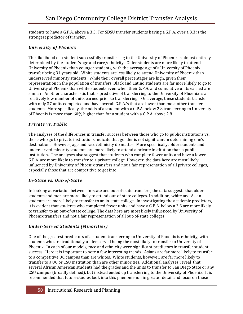students to have a G.P.A. above a 3.3. For SDSU transfer students having a G.P.A. over a 3.3 is the strongest predictor of transfer.

#### *University of Phoenix*

The likelihood of a student successfully transferring to the University of Phoenix is almost entirely determined by the student's age and race/ethnicity. Older students are more likely to attend University of Phoenix than younger students, with the average age of a University of Phoenix transfer being 31 years old. White students are less likely to attend University of Phoenix than underserved minority students. While their overall percentages are high, given their representation in the population of transfers, Black and Latino students are far more likely to go to University of Phoenix than white students even when their G.P.A. and cumulative units earned are similar. Another characteristic that is predictive of transferring to the University of Phoenix is a relatively low number of units earned prior to transferring. On average, these students transfer with only 37 units completed and have overall G.P.A.'s that are lower than most other transfer students. More specifically, the odds of a student with a G.P.A. below 2.8 transferring to University of Phoenix is more than 60% higher than for a student with a G.P.A. above 2.8.

#### *Private vs. Public*

The analyses of the differences in transfer success between those who go to public institutions vs. those who go to private institutions indicate that gender is not significant in determining one's destination. However, age and race/ethnicity do matter. More specifically, older students and underserved minority students are more likely to attend a private institution than a public institution. The analyses also suggest that students who complete fewer units and have a lower G.P.A. are more likely to transfer to a private college. However, the data here are most likely influenced by University of Phoenix transfers and not a fair representation of all private colleges, especially those that are competitive to get into.

#### *InState vs. OutofState*

In looking at variation between in-state and out-of-state transfers, the data suggests that older students and men are more likely to attend out-of-state colleges. In addition, white and Asian students are more likely to transfer to an in‐state college. In investigating the academic predictors, it is evident that students who completed fewer units and have a G.P.A. below a 3.3 are more likely to transfer to an out‐of‐state college. The data here are most likely influenced by University of Phoenix transfers and not a fair representation of all out‐of‐state colleges.

#### *UnderServed Students (Minorities)*

One of the greatest predictors of a student transferring to University of Phoenix is ethnicity, with students who are traditionally under‐served being the most likely to transfer to University of Phoenix. In each of our models, race and ethnicity were significant predictors in transfer student success. Here it is important to note a few interesting trends. Asians are far more likely to transfer to a competitive UC campus than are whites. White students, however, are far more likely to transfer to a UC or CSU institution than are other minorities. Additional analyses reveal that several African American students had the grades and the units to transfer to San Diego State or any CSU campus (broadly defined), but instead ended up transferring to the University of Phoenix. It is recommended that future studies look into this phenomenon in greater detail and focus on those